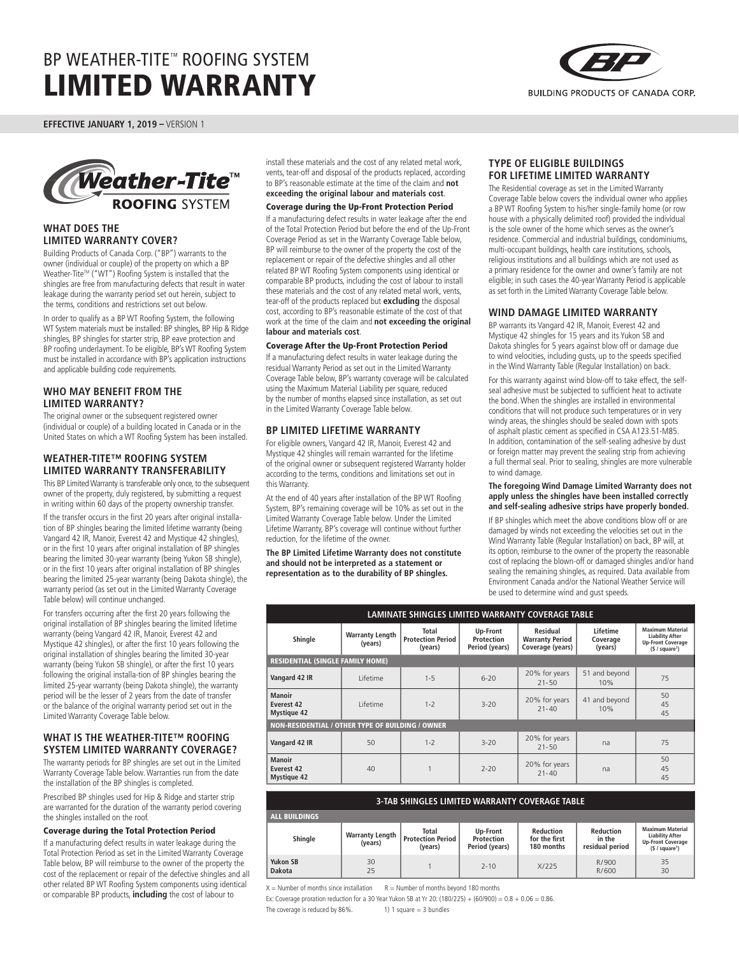

**EFFECTIVE JANUARY 1, 2019 –** VERSION 1



## **WHAT DOES THE LIMITED WARRANTY COVER?**

Building Products of Canada Corp. ("BP") warrants to the owner (individual or couple) of the property on which a BP Weather-Tite™ ("WT") Roofing System is installed that the shingles are free from manufacturing defects that result in water leakage during the warranty period set out herein, subject to the terms, conditions and restrictions set out below.

In order to qualify as a BP WT Roofing System, the following WT System materials must be installed: BP shingles, BP Hip & Ridge shingles, BP shingles for starter strip, BP eave protection and BP roofing underlayment. To be eligible, BP's WT Roofing System must be installed in accordance with BP's application instructions and applicable building code requirements.

# **WHO MAY BENEFIT FROM THE LIMITED WARRANTY?**

The original owner or the subsequent registered owner (individual or couple) of a building located in Canada or in the United States on which a WT Roofing System has been installed.

# **WEATHER-TITE™ ROOFING SYSTEM LIMITED WARRANTY TRANSFERABILITY**

This BP Limited Warranty is transferable only once, to the subsequent owner of the property, duly registered, by submitting a request in writing within 60 days of the property ownership transfer.

If the transfer occurs in the first 20 years after original installation of BP shingles bearing the limited lifetime warranty (being Vangard 42 IR, Manoir, Everest 42 and Mystique 42 shingles), or in the first 10 years after original installation of BP shingles bearing the limited 30-year warranty (being Yukon SB shingle), or in the first 10 years after original installation of BP shingles bearing the limited 25-year warranty (being Dakota shingle), the warranty period (as set out in the Limited Warranty Coverage Table below) will continue unchanged.

For transfers occurring after the first 20 years following the original installation of BP shingles bearing the limited lifetime warranty (being Vangard 42 IR, Manoir, Everest 42 and Mystique 42 shingles), or after the first 10 years following the original installation of shingles bearing the limited 30-year warranty (being Yukon SB shingle), or after the first 10 years following the original installa-tion of BP shingles bearing the limited 25-year warranty (being Dakota shingle), the warranty period will be the lesser of 2 years from the date of transfer or the balance of the original warranty period set out in the Limited Warranty Coverage Table below.

# **WHAT IS THE WEATHER-TITE™ ROOFING SYSTEM LIMITED WARRANTY COVERAGE?**

The warranty periods for BP shingles are set out in the Limited Warranty Coverage Table below. Warranties run from the date the installation of the BP shingles is completed.

Prescribed BP shingles used for Hip & Ridge and starter strip are warranted for the duration of the warranty period covering the shingles installed on the roof.

### Coverage during the Total Protection Period

If a manufacturing defect results in water leakage during the Total Protection Period as set in the Limited Warranty Coverage Table below, BP will reimburse to the owner of the property the cost of the replacement or repair of the defective shingles and all other related BP WT Roofing System components using identical or comparable BP products, **including** the cost of labour to

install these materials and the cost of any related metal work, vents, tear-off and disposal of the products replaced, according to BP's reasonable estimate at the time of the claim and **not exceeding the original labour and materials cost**.

### Coverage during the Up-Front Protection Period

If a manufacturing defect results in water leakage after the end of the Total Protection Period but before the end of the Up-Front Coverage Period as set in the Warranty Coverage Table below, BP will reimburse to the owner of the property the cost of the replacement or repair of the defective shingles and all other related BP WT Roofing System components using identical or comparable BP products, including the cost of labour to install these materials and the cost of any related metal work, vents, tear-off of the products replaced but **excluding** the disposal cost, according to BP's reasonable estimate of the cost of that work at the time of the claim and **not exceeding the original labour and materials cost**.

#### Coverage After the Up-Front Protection Period

If a manufacturing defect results in water leakage during the residual Warranty Period as set out in the Limited Warranty Coverage Table below, BP's warranty coverage will be calculated using the Maximum Material Liability per square, reduced by the number of months elapsed since installation, as set out in the Limited Warranty Coverage Table below.

## **BP LIMITED LIFETIME WARRANTY**

For eligible owners, Vangard 42 IR, Manoir, Everest 42 and Mystique 42 shingles will remain warranted for the lifetime of the original owner or subsequent registered Warranty holder according to the terms, conditions and limitations set out in this Warranty.

At the end of 40 years after installation of the BP WT Roofing System, BP's remaining coverage will be 10% as set out in the Limited Warranty Coverage Table below. Under the Limited Lifetime Warranty, BP's coverage will continue without further reduction, for the lifetime of the owner.

**The BP Limited Lifetime Warranty does not constitute and should not be interpreted as a statement or representation as to the durability of BP shingles.**

### **TYPE OF ELIGIBLE BUILDINGS FOR LIFETIME LIMITED WARRANTY**

The Residential coverage as set in the Limited Warranty Coverage Table below covers the individual owner who applies a BP WT Roofing System to his/her single-family home (or row house with a physically delimited roof) provided the individual is the sole owner of the home which serves as the owner's residence. Commercial and industrial buildings, condominiums, multi-occupant buildings, health care institutions, schools, religious institutions and all buildings which are not used as a primary residence for the owner and owner's family are not eligible; in such cases the 40-year Warranty Period is applicable as set forth in the Limited Warranty Coverage Table below.

## **WIND DAMAGE LIMITED WARRANTY**

BP warrants its Vangard 42 IR, Manoir, Everest 42 and Mystique 42 shingles for 15 years and its Yukon SB and Dakota shingles for 5 years against blow off or damage due to wind velocities, including gusts, up to the speeds specified in the Wind Warranty Table (Regular Installation) on back.

For this warranty against wind blow-off to take effect, the selfseal adhesive must be subjected to sufficient heat to activate the bond. When the shingles are installed in environmental conditions that will not produce such temperatures or in very windy areas, the shingles should be sealed down with spots of asphalt plastic cement as specified in CSA A123.51-M85. In addition, contamination of the self-sealing adhesive by dust or foreign matter may prevent the sealing strip from achieving a full thermal seal. Prior to sealing, shingles are more vulnerable to wind damage.

#### **The foregoing Wind Damage Limited Warranty does not apply unless the shingles have been installed correctly and self-sealing adhesive strips have properly bonded.**

If BP shingles which meet the above conditions blow off or are damaged by winds not exceeding the velocities set out in the Wind Warranty Table (Regular Installation) on back, BP will, at its option, reimburse to the owner of the property the reasonable cost of replacing the blown-off or damaged shingles and/or hand sealing the remaining shingles, as required. Data available from Environment Canada and/or the National Weather Service will be used to determine wind and gust speeds.

| LAMINATE SHINGLES LIMITED WARRANTY COVERAGE TABLE       |                                   |                                              |                                          |                                                        |                                 |                                                                                                             |  |
|---------------------------------------------------------|-----------------------------------|----------------------------------------------|------------------------------------------|--------------------------------------------------------|---------------------------------|-------------------------------------------------------------------------------------------------------------|--|
| Shingle                                                 | <b>Warranty Length</b><br>(years) | Total<br><b>Protection Period</b><br>(years) | Up-Front<br>Protection<br>Period (years) | Residual<br><b>Warranty Period</b><br>Coverage (years) | Lifetime<br>Coverage<br>(years) | <b>Maximum Material</b><br><b>Liability After</b><br><b>Up-Front Coverage</b><br>(S / square <sup>1</sup> ) |  |
| <b>RESIDENTIAL (SINGLE FAMILY HOME)</b>                 |                                   |                                              |                                          |                                                        |                                 |                                                                                                             |  |
| Vangard 42 IR                                           | I ifetime                         | $1 - 5$                                      | $6 - 20$                                 | 20% for years<br>$21 - 50$                             | 51 and beyond<br>10%            | 75                                                                                                          |  |
| <b>Manoir</b><br>Everest 42<br><b>Mystique 42</b>       | I ifetime                         | $1 - 2$                                      | $3 - 20$                                 | 20% for years<br>$21 - 40$                             | 41 and beyond<br>10%            | 50<br>45<br>45                                                                                              |  |
| <b>NON-RESIDENTIAL / OTHER TYPE OF BUILDING / OWNER</b> |                                   |                                              |                                          |                                                        |                                 |                                                                                                             |  |
| Vangard 42 IR                                           | 50                                | $1 - 2$                                      | $3 - 20$                                 | 20% for years<br>$21 - 50$                             | na                              | 75                                                                                                          |  |
| <b>Manoir</b><br>Everest 42<br><b>Mystique 42</b>       | 40                                |                                              | $7 - 20$                                 | 20% for years<br>$21 - 40$                             | na                              | 50<br>45<br>45                                                                                              |  |

| <b>3-TAB SHINGLES LIMITED WARRANTY COVERAGE TABLE</b> |                                   |                                                     |                                          |                                          |                                               |                                                                                                             |  |
|-------------------------------------------------------|-----------------------------------|-----------------------------------------------------|------------------------------------------|------------------------------------------|-----------------------------------------------|-------------------------------------------------------------------------------------------------------------|--|
| <b>ALL BUILDINGS</b>                                  |                                   |                                                     |                                          |                                          |                                               |                                                                                                             |  |
| Shingle                                               | <b>Warranty Length</b><br>(years) | <b>Total</b><br><b>Protection Period</b><br>(years) | Up-Front<br>Protection<br>Period (years) | Reduction<br>for the first<br>180 months | <b>Reduction</b><br>in the<br>residual period | <b>Maximum Material</b><br><b>Liability After</b><br><b>Up-Front Coverage</b><br>(§ / square <sup>1</sup> ) |  |
| Yukon SB<br><b>Dakota</b>                             | 30<br>25                          |                                                     | $7 - 10$                                 | X/225                                    | R/900<br>R/600                                | 35<br>30                                                                                                    |  |

 $X =$  Number of months since installation  $R =$  Number of months beyond 180 months

Ex: Coverage proration reduction for a 30 Year Yukon SB at Yr 20: (180/225) + (60/900) =  $0.8 + 0.06 = 0.86$ .

The coverage is reduced by  $86\%$ . 1) 1 square = 3 bundles